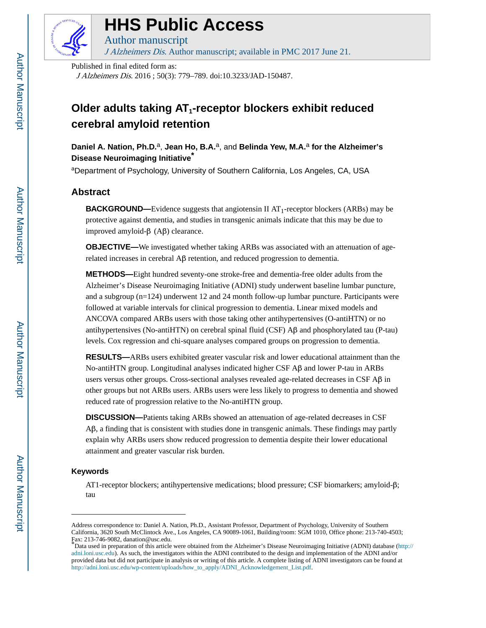

# **HHS Public Access**

Author manuscript J Alzheimers Dis. Author manuscript; available in PMC 2017 June 21.

Published in final edited form as:

J Alzheimers Dis. 2016 ; 50(3): 779–789. doi:10.3233/JAD-150487.

## **Older adults taking AT1-receptor blockers exhibit reduced cerebral amyloid retention**

**Daniel A. Nation, Ph.D.**a, **Jean Ho, B.A.**a, and **Belinda Yew, M.A.**<sup>a</sup> **for the Alzheimer's Disease Neuroimaging Initiative\***

<sup>a</sup>Department of Psychology, University of Southern California, Los Angeles, CA, USA

## **Abstract**

**BACKGROUND—**Evidence suggests that angiotensin II AT<sub>1</sub>-receptor blockers (ARBs) may be protective against dementia, and studies in transgenic animals indicate that this may be due to improved amyloid-β (Aβ) clearance.

**OBJECTIVE—**We investigated whether taking ARBs was associated with an attenuation of agerelated increases in cerebral Aβ retention, and reduced progression to dementia.

**METHODS—**Eight hundred seventy-one stroke-free and dementia-free older adults from the Alzheimer's Disease Neuroimaging Initiative (ADNI) study underwent baseline lumbar puncture, and a subgroup (n=124) underwent 12 and 24 month follow-up lumbar puncture. Participants were followed at variable intervals for clinical progression to dementia. Linear mixed models and ANCOVA compared ARBs users with those taking other antihypertensives (O-antiHTN) or no antihypertensives (No-antiHTN) on cerebral spinal fluid (CSF) Aβ and phosphorylated tau (P-tau) levels. Cox regression and chi-square analyses compared groups on progression to dementia.

**RESULTS—**ARBs users exhibited greater vascular risk and lower educational attainment than the No-antiHTN group. Longitudinal analyses indicated higher CSF Aβ and lower P-tau in ARBs users versus other groups. Cross-sectional analyses revealed age-related decreases in CSF Aβ in other groups but not ARBs users. ARBs users were less likely to progress to dementia and showed reduced rate of progression relative to the No-antiHTN group.

**DISCUSSION—**Patients taking ARBs showed an attenuation of age-related decreases in CSF Aβ, a finding that is consistent with studies done in transgenic animals. These findings may partly explain why ARBs users show reduced progression to dementia despite their lower educational attainment and greater vascular risk burden.

## **Keywords**

AT1-receptor blockers; antihypertensive medications; blood pressure; CSF biomarkers; amyloid-β; tau

Address correspondence to: Daniel A. Nation, Ph.D., Assistant Professor, Department of Psychology, University of Southern California, 3620 South McClintock Ave., Los Angeles, CA 90089-1061, Building/room: SGM 1010, Office phone: 213-740-4503; Fax: 213-746-9082, danation@usc.edu.

<sup>\*</sup>Data used in preparation of this article were obtained from the Alzheimer's Disease Neuroimaging Initiative (ADNI) database ([http://](http://adni.loni.usc.edu) [adni.loni.usc.edu](http://adni.loni.usc.edu)). As such, the investigators within the ADNI contributed to the design and implementation of the ADNI and/or provided data but did not participate in analysis or writing of this article. A complete listing of ADNI investigators can be found at [http://adni.loni.usc.edu/wp-content/uploads/how\\_to\\_apply/ADNI\\_Acknowledgement\\_List.pdf](http://adni.loni.usc.edu/wp-content/uploads/how_to_apply/ADNI_Acknowledgement_List.pdf).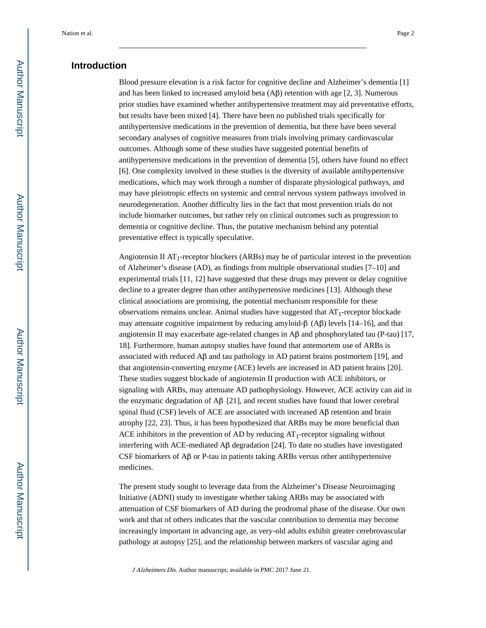## **Introduction**

Blood pressure elevation is a risk factor for cognitive decline and Alzheimer's dementia [1] and has been linked to increased amyloid beta  $(A\beta)$  retention with age [2, 3]. Numerous prior studies have examined whether antihypertensive treatment may aid preventative efforts, but results have been mixed [4]. There have been no published trials specifically for antihypertensive medications in the prevention of dementia, but there have been several secondary analyses of cognitive measures from trials involving primary cardiovascular outcomes. Although some of these studies have suggested potential benefits of antihypertensive medications in the prevention of dementia [5], others have found no effect [6]. One complexity involved in these studies is the diversity of available antihypertensive medications, which may work through a number of disparate physiological pathways, and may have pleiotropic effects on systemic and central nervous system pathways involved in neurodegeneration. Another difficulty lies in the fact that most prevention trials do not include biomarker outcomes, but rather rely on clinical outcomes such as progression to dementia or cognitive decline. Thus, the putative mechanism behind any potential preventative effect is typically speculative.

Angiotensin II  $AT_1$ -receptor blockers (ARBs) may be of particular interest in the prevention of Alzheimer's disease (AD), as findings from multiple observational studies [7–10] and experimental trials [11, 12] have suggested that these drugs may prevent or delay cognitive decline to a greater degree than other antihypertensive medicines [13]. Although these clinical associations are promising, the potential mechanism responsible for these observations remains unclear. Animal studies have suggested that  $AT_1$ -receptor blockade may attenuate cognitive impairment by reducing amyloid- $\beta$  (A $\beta$ ) levels [14–16], and that angiotensin II may exacerbate age-related changes in Aβ and phosphorylated tau (P-tau) [17, 18]. Furthermore, human autopsy studies have found that antemortem use of ARBs is associated with reduced  $\text{A}β$  and tau pathology in  $\text{A}D$  patient brains postmortem [19], and that angiotensin-converting enzyme (ACE) levels are increased in AD patient brains [20]. These studies suggest blockade of angiotensin II production with ACE inhibitors, or signaling with ARBs, may attenuate AD pathophysiology. However, ACE activity can aid in the enzymatic degradation of Aβ [21], and recent studies have found that lower cerebral spinal fluid (CSF) levels of ACE are associated with increased Aβ retention and brain atrophy [22, 23]. Thus, it has been hypothesized that ARBs may be more beneficial than ACE inhibitors in the prevention of AD by reducing  $AT_1$ -receptor signaling without interfering with ACE-mediated Aβ degradation [24]. To date no studies have investigated CSF biomarkers of Aβ or P-tau in patients taking ARBs versus other antihypertensive medicines.

The present study sought to leverage data from the Alzheimer's Disease Neuroimaging Initiative (ADNI) study to investigate whether taking ARBs may be associated with attenuation of CSF biomarkers of AD during the prodromal phase of the disease. Our own work and that of others indicates that the vascular contribution to dementia may become increasingly important in advancing age, as very-old adults exhibit greater cerebrovascular pathology at autopsy [25], and the relationship between markers of vascular aging and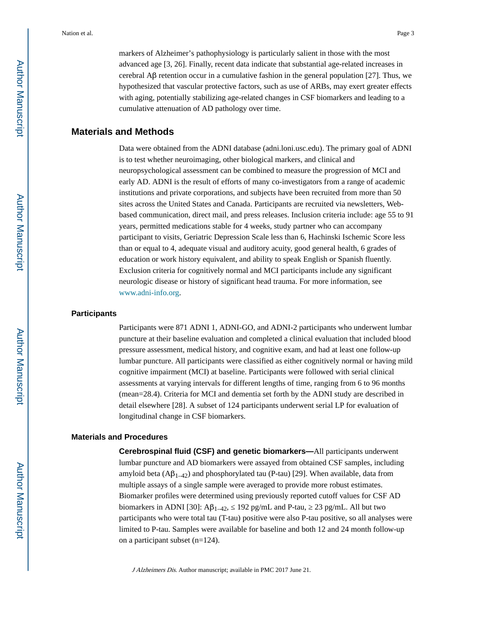markers of Alzheimer's pathophysiology is particularly salient in those with the most advanced age [3, 26]. Finally, recent data indicate that substantial age-related increases in cerebral Aβ retention occur in a cumulative fashion in the general population [27]. Thus, we hypothesized that vascular protective factors, such as use of ARBs, may exert greater effects with aging, potentially stabilizing age-related changes in CSF biomarkers and leading to a cumulative attenuation of AD pathology over time.

## **Materials and Methods**

Data were obtained from the ADNI database (adni.loni.usc.edu). The primary goal of ADNI is to test whether neuroimaging, other biological markers, and clinical and neuropsychological assessment can be combined to measure the progression of MCI and early AD. ADNI is the result of efforts of many co-investigators from a range of academic institutions and private corporations, and subjects have been recruited from more than 50 sites across the United States and Canada. Participants are recruited via newsletters, Webbased communication, direct mail, and press releases. Inclusion criteria include: age 55 to 91 years, permitted medications stable for 4 weeks, study partner who can accompany participant to visits, Geriatric Depression Scale less than 6, Hachinski Ischemic Score less than or equal to 4, adequate visual and auditory acuity, good general health, 6 grades of education or work history equivalent, and ability to speak English or Spanish fluently. Exclusion criteria for cognitively normal and MCI participants include any significant neurologic disease or history of significant head trauma. For more information, see www.adni-info.org.

#### **Participants**

Participants were 871 ADNI 1, ADNI-GO, and ADNI-2 participants who underwent lumbar puncture at their baseline evaluation and completed a clinical evaluation that included blood pressure assessment, medical history, and cognitive exam, and had at least one follow-up lumbar puncture. All participants were classified as either cognitively normal or having mild cognitive impairment (MCI) at baseline. Participants were followed with serial clinical assessments at varying intervals for different lengths of time, ranging from 6 to 96 months (mean=28.4). Criteria for MCI and dementia set forth by the ADNI study are described in detail elsewhere [28]. A subset of 124 participants underwent serial LP for evaluation of longitudinal change in CSF biomarkers.

#### **Materials and Procedures**

**Cerebrospinal fluid (CSF) and genetic biomarkers—**All participants underwent lumbar puncture and AD biomarkers were assayed from obtained CSF samples, including amyloid beta  $(A\beta_{1-42})$  and phosphorylated tau (P-tau) [29]. When available, data from multiple assays of a single sample were averaged to provide more robust estimates. Biomarker profiles were determined using previously reported cutoff values for CSF AD biomarkers in ADNI [30]:  $\mathbf{A}\mathbf{\beta}_{1-42}$ , 192 pg/mL and P-tau, 23 pg/mL. All but two participants who were total tau (T-tau) positive were also P-tau positive, so all analyses were limited to P-tau. Samples were available for baseline and both 12 and 24 month follow-up on a participant subset (n=124).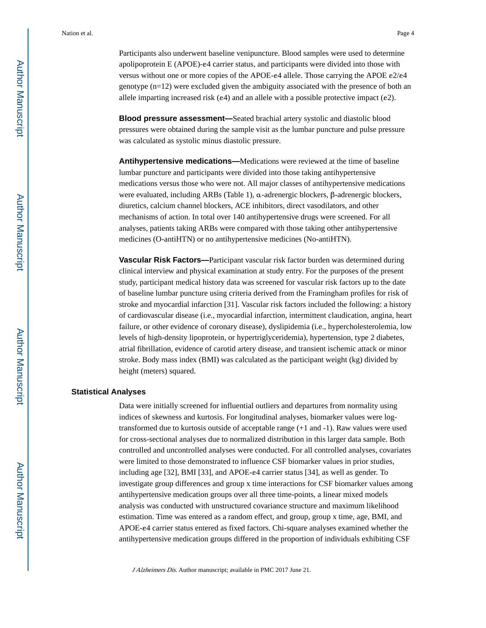Participants also underwent baseline venipuncture. Blood samples were used to determine apolipoprotein E (APOE)-ε4 carrier status, and participants were divided into those with versus without one or more copies of the APOE-ε4 allele. Those carrying the APOE ε2/ε4 genotype (n=12) were excluded given the ambiguity associated with the presence of both an allele imparting increased risk ( $\varepsilon$ 4) and an allele with a possible protective impact ( $\varepsilon$ 2).

**Blood pressure assessment—**Seated brachial artery systolic and diastolic blood pressures were obtained during the sample visit as the lumbar puncture and pulse pressure was calculated as systolic minus diastolic pressure.

**Antihypertensive medications—**Medications were reviewed at the time of baseline lumbar puncture and participants were divided into those taking antihypertensive medications versus those who were not. All major classes of antihypertensive medications were evaluated, including ARBs (Table 1), α-adrenergic blockers, β-adrenergic blockers, diuretics, calcium channel blockers, ACE inhibitors, direct vasodilators, and other mechanisms of action. In total over 140 antihypertensive drugs were screened. For all analyses, patients taking ARBs were compared with those taking other antihypertensive medicines (O-antiHTN) or no antihypertensive medicines (No-antiHTN).

**Vascular Risk Factors—**Participant vascular risk factor burden was determined during clinical interview and physical examination at study entry. For the purposes of the present study, participant medical history data was screened for vascular risk factors up to the date of baseline lumbar puncture using criteria derived from the Framingham profiles for risk of stroke and myocardial infarction [31]. Vascular risk factors included the following: a history of cardiovascular disease (i.e., myocardial infarction, intermittent claudication, angina, heart failure, or other evidence of coronary disease), dyslipidemia (i.e., hypercholesterolemia, low levels of high-density lipoprotein, or hypertriglyceridemia), hypertension, type 2 diabetes, atrial fibrillation, evidence of carotid artery disease, and transient ischemic attack or minor stroke. Body mass index (BMI) was calculated as the participant weight (kg) divided by height (meters) squared.

#### **Statistical Analyses**

Data were initially screened for influential outliers and departures from normality using indices of skewness and kurtosis. For longitudinal analyses, biomarker values were logtransformed due to kurtosis outside of acceptable range (+1 and -1). Raw values were used for cross-sectional analyses due to normalized distribution in this larger data sample. Both controlled and uncontrolled analyses were conducted. For all controlled analyses, covariates were limited to those demonstrated to influence CSF biomarker values in prior studies, including age [32], BMI [33], and APOE-ε4 carrier status [34], as well as gender. To investigate group differences and group x time interactions for CSF biomarker values among antihypertensive medication groups over all three time-points, a linear mixed models analysis was conducted with unstructured covariance structure and maximum likelihood estimation. Time was entered as a random effect, and group, group x time, age, BMI, and APOE-ε4 carrier status entered as fixed factors. Chi-square analyses examined whether the antihypertensive medication groups differed in the proportion of individuals exhibiting CSF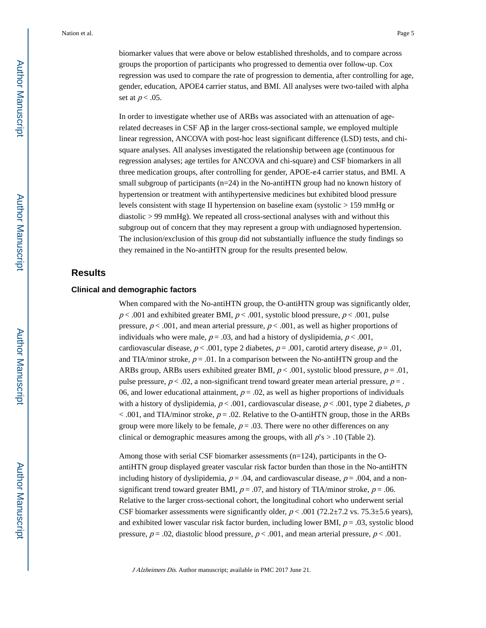biomarker values that were above or below established thresholds, and to compare across groups the proportion of participants who progressed to dementia over follow-up. Cox regression was used to compare the rate of progression to dementia, after controlling for age, gender, education, APOE4 carrier status, and BMI. All analyses were two-tailed with alpha

In order to investigate whether use of ARBs was associated with an attenuation of agerelated decreases in CSF Aβ in the larger cross-sectional sample, we employed multiple linear regression, ANCOVA with post-hoc least significant difference (LSD) tests, and chisquare analyses. All analyses investigated the relationship between age (continuous for regression analyses; age tertiles for ANCOVA and chi-square) and CSF biomarkers in all three medication groups, after controlling for gender, APOE-ε4 carrier status, and BMI. A small subgroup of participants (n=24) in the No-antiHTN group had no known history of hypertension or treatment with antihypertensive medicines but exhibited blood pressure levels consistent with stage II hypertension on baseline exam (systolic > 159 mmHg or diastolic > 99 mmHg). We repeated all cross-sectional analyses with and without this subgroup out of concern that they may represent a group with undiagnosed hypertension. The inclusion/exclusion of this group did not substantially influence the study findings so they remained in the No-antiHTN group for the results presented below.

## **Results**

#### **Clinical and demographic factors**

set at  $p < .05$ .

When compared with the No-antiHTN group, the O-antiHTN group was significantly older,  $p < .001$  and exhibited greater BMI,  $p < .001$ , systolic blood pressure,  $p < .001$ , pulse pressure,  $p < .001$ , and mean arterial pressure,  $p < .001$ , as well as higher proportions of individuals who were male,  $p = .03$ , and had a history of dyslipidemia,  $p < .001$ , cardiovascular disease,  $p < .001$ , type 2 diabetes,  $p = .001$ , carotid artery disease,  $p = .01$ , and TIA/minor stroke,  $p = .01$ . In a comparison between the No-antiHTN group and the ARBs group, ARBs users exhibited greater BMI,  $p < .001$ , systolic blood pressure,  $p = .01$ , pulse pressure,  $p < .02$ , a non-significant trend toward greater mean arterial pressure,  $p = .$ 06, and lower educational attainment,  $p = .02$ , as well as higher proportions of individuals with a history of dyslipidemia,  $p < .001$ , cardiovascular disease,  $p < .001$ , type 2 diabetes, p  $<$  .001, and TIA/minor stroke,  $p = 0.02$ . Relative to the O-antiHTN group, those in the ARBs group were more likely to be female,  $p = .03$ . There were no other differences on any clinical or demographic measures among the groups, with all  $p's > .10$  (Table 2).

Among those with serial CSF biomarker assessments  $(n=124)$ , participants in the OantiHTN group displayed greater vascular risk factor burden than those in the No-antiHTN including history of dyslipidemia,  $p = .04$ , and cardiovascular disease,  $p = .004$ , and a nonsignificant trend toward greater BMI,  $p = .07$ , and history of TIA/minor stroke,  $p = .06$ . Relative to the larger cross-sectional cohort, the longitudinal cohort who underwent serial CSF biomarker assessments were significantly older,  $p < .001$  (72.2±7.2 vs. 75.3±5.6 years), and exhibited lower vascular risk factor burden, including lower BMI,  $p = .03$ , systolic blood pressure,  $p = .02$ , diastolic blood pressure,  $p < .001$ , and mean arterial pressure,  $p < .001$ .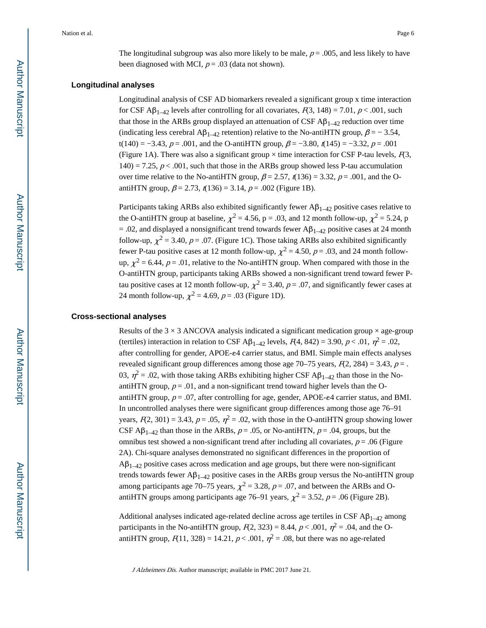The longitudinal subgroup was also more likely to be male,  $p = .005$ , and less likely to have been diagnosed with MCI,  $p = .03$  (data not shown).

#### **Longitudinal analyses**

Longitudinal analysis of CSF AD biomarkers revealed a significant group x time interaction for CSF A $\beta_{1-42}$  levels after controlling for all covariates,  $F(3, 148) = 7.01$ ,  $p < .001$ , such that those in the ARBs group displayed an attenuation of CSF  $\mathsf{AB}_{1-42}$  reduction over time (indicating less cerebral A $\beta_{1-42}$  retention) relative to the No-antiHTN group,  $\beta$  = -3.54, t(140) = -3.43, p = .001, and the O-antiHTN group,  $\beta$  = -3.80, t(145) = -3.32, p = .001 (Figure 1A). There was also a significant group  $\times$  time interaction for CSF P-tau levels,  $F(3)$ ,  $140$ ) = 7.25,  $p < .001$ , such that those in the ARBs group showed less P-tau accumulation over time relative to the No-antiHTN group,  $\beta = 2.57$ ,  $\ell(136) = 3.32$ ,  $p = .001$ , and the OantiHTN group,  $\beta = 2.73$ ,  $t(136) = 3.14$ ,  $p = .002$  (Figure 1B).

Participants taking ARBs also exhibited significantly fewer  $A\beta_{1-42}$  positive cases relative to the O-antiHTN group at baseline,  $\chi^2 = 4.56$ , p = .03, and 12 month follow-up,  $\chi^2 = 5.24$ , p = .02, and displayed a nonsignificant trend towards fewer  $A\beta_{1-42}$  positive cases at 24 month follow-up,  $\chi^2$  = 3.40,  $p$  = .07. (Figure 1C). Those taking ARBs also exhibited significantly fewer P-tau positive cases at 12 month follow-up,  $\chi^2$  = 4.50,  $p$  = .03, and 24 month followup,  $\chi^2$  = 6.44,  $p$  = .01, relative to the No-antiHTN group. When compared with those in the O-antiHTN group, participants taking ARBs showed a non-significant trend toward fewer Ptau positive cases at 12 month follow-up,  $\chi^2$  = 3.40,  $p$  = .07, and significantly fewer cases at 24 month follow-up,  $\chi^2 = 4.69$ ,  $p = .03$  (Figure 1D).

#### **Cross-sectional analyses**

Results of the  $3 \times 3$  ANCOVA analysis indicated a significant medication group  $\times$  age-group (tertiles) interaction in relation to CSF A $\beta_{1-42}$  levels,  $F(4, 842) = 3.90, p < .01, \eta^2 = .02,$ after controlling for gender, APOE-ε4 carrier status, and BMI. Simple main effects analyses revealed significant group differences among those age 70–75 years,  $F(2, 284) = 3.43$ ,  $p =$ . 03,  $\eta^2$  = .02, with those taking ARBs exhibiting higher CSF A $\beta_{1-42}$  than those in the NoantiHTN group,  $p = .01$ , and a non-significant trend toward higher levels than the OantiHTN group,  $p = .07$ , after controlling for age, gender, APOE-e4 carrier status, and BMI. In uncontrolled analyses there were significant group differences among those age 76–91 years,  $F(2, 301) = 3.43$ ,  $p = .05$ ,  $\eta^2 = .02$ , with those in the O-antiHTN group showing lower CSF A $\beta_{1-42}$  than those in the ARBs,  $p = .05$ , or No-antiHTN,  $p = .04$ , groups, but the omnibus test showed a non-significant trend after including all covariates,  $p = .06$  (Figure 2A). Chi-square analyses demonstrated no significant differences in the proportion of  $A\beta_{1-42}$  positive cases across medication and age groups, but there were non-significant trends towards fewer  $A\beta_{1-42}$  positive cases in the ARBs group versus the No-antiHTN group among participants age 70–75 years,  $\chi^2$  = 3.28,  $p$  = .07, and between the ARBs and OantiHTN groups among participants age 76–91 years,  $\chi^2$  = 3.52, p = .06 (Figure 2B).

Additional analyses indicated age-related decline across age tertiles in CSF  $\mathsf{AB}_{1-42}$  among participants in the No-antiHTN group,  $F(2, 323) = 8.44$ ,  $p < .001$ ,  $\eta^2 = .04$ , and the OantiHTN group,  $F(11, 328) = 14.21$ ,  $p < .001$ ,  $\eta^2 = .08$ , but there was no age-related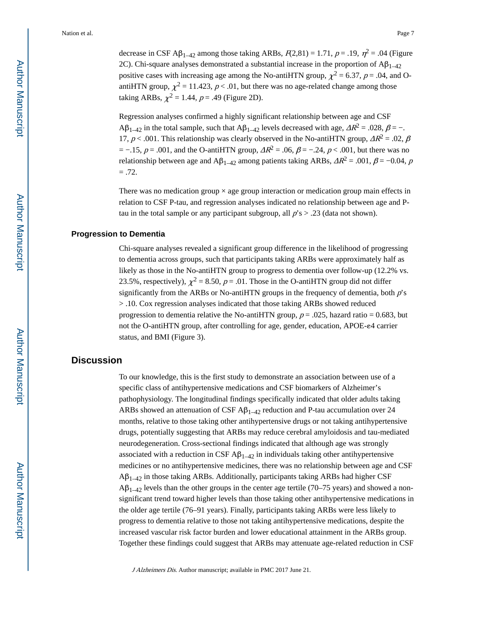Regression analyses confirmed a highly significant relationship between age and CSF  $A\beta_{1-42}$  in the total sample, such that  $A\beta_{1-42}$  levels decreased with age,  $R^2 = .028$ ,  $\beta = -.$ 17,  $p < .001$ . This relationship was clearly observed in the No-antiHTN group,  $R^2 = .02$ ,  $\beta$  $= -.15, p = .001$ , and the O-antiHTN group,  $R^2 = .06, \beta = -.24, p < .001$ , but there was no relationship between age and  $A\beta_{1-42}$  among patients taking ARBs,  $R^2 = .001$ ,  $\beta = -0.04$ , p  $=.72.$ 

There was no medication group  $\times$  age group interaction or medication group main effects in relation to CSF P-tau, and regression analyses indicated no relationship between age and Ptau in the total sample or any participant subgroup, all  $p's > .23$  (data not shown).

#### **Progression to Dementia**

Chi-square analyses revealed a significant group difference in the likelihood of progressing to dementia across groups, such that participants taking ARBs were approximately half as likely as those in the No-antiHTN group to progress to dementia over follow-up (12.2% vs. 23.5%, respectively),  $\chi^2$  = 8.50, p = .01. Those in the O-antiHTN group did not differ significantly from the ARBs or No-antiHTN groups in the frequency of dementia, both  $p$ 's > .10. Cox regression analyses indicated that those taking ARBs showed reduced progression to dementia relative the No-antiHTN group,  $p = .025$ , hazard ratio = 0.683, but not the O-antiHTN group, after controlling for age, gender, education, APOE-ε4 carrier status, and BMI (Figure 3).

## **Discussion**

To our knowledge, this is the first study to demonstrate an association between use of a specific class of antihypertensive medications and CSF biomarkers of Alzheimer's pathophysiology. The longitudinal findings specifically indicated that older adults taking ARBs showed an attenuation of CSF  $\mathsf{AB}_{1-42}$  reduction and P-tau accumulation over 24 months, relative to those taking other antihypertensive drugs or not taking antihypertensive drugs, potentially suggesting that ARBs may reduce cerebral amyloidosis and tau-mediated neurodegeneration. Cross-sectional findings indicated that although age was strongly associated with a reduction in CSF  $\mathsf{AB}_{1-42}$  in individuals taking other antihypertensive medicines or no antihypertensive medicines, there was no relationship between age and CSF  $A\beta_{1-42}$  in those taking ARBs. Additionally, participants taking ARBs had higher CSF  $A\beta_{1-42}$  levels than the other groups in the center age tertile (70–75 years) and showed a nonsignificant trend toward higher levels than those taking other antihypertensive medications in the older age tertile (76–91 years). Finally, participants taking ARBs were less likely to progress to dementia relative to those not taking antihypertensive medications, despite the increased vascular risk factor burden and lower educational attainment in the ARBs group. Together these findings could suggest that ARBs may attenuate age-related reduction in CSF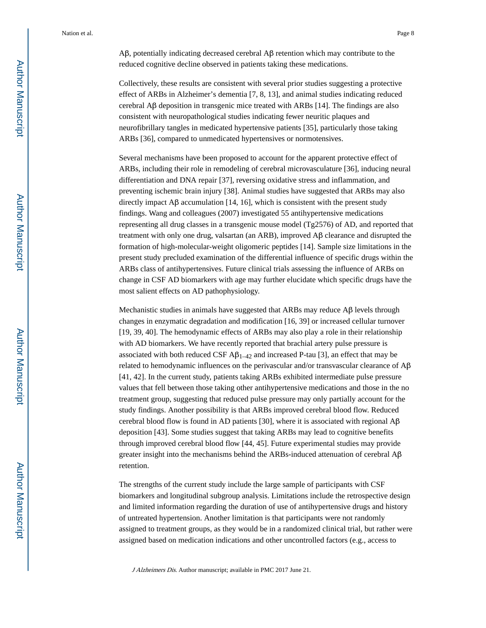Aβ, potentially indicating decreased cerebral Aβ retention which may contribute to the reduced cognitive decline observed in patients taking these medications.

Collectively, these results are consistent with several prior studies suggesting a protective effect of ARBs in Alzheimer's dementia [7, 8, 13], and animal studies indicating reduced cerebral Aβ deposition in transgenic mice treated with ARBs [14]. The findings are also consistent with neuropathological studies indicating fewer neuritic plaques and neurofibrillary tangles in medicated hypertensive patients [35], particularly those taking ARBs [36], compared to unmedicated hypertensives or normotensives.

Several mechanisms have been proposed to account for the apparent protective effect of ARBs, including their role in remodeling of cerebral microvasculature [36], inducing neural differentiation and DNA repair [37], reversing oxidative stress and inflammation, and preventing ischemic brain injury [38]. Animal studies have suggested that ARBs may also directly impact Aβ accumulation [14, 16], which is consistent with the present study findings. Wang and colleagues (2007) investigated 55 antihypertensive medications representing all drug classes in a transgenic mouse model (Tg2576) of AD, and reported that treatment with only one drug, valsartan (an ARB), improved Aβ clearance and disrupted the formation of high-molecular-weight oligomeric peptides [14]. Sample size limitations in the present study precluded examination of the differential influence of specific drugs within the ARBs class of antihypertensives. Future clinical trials assessing the influence of ARBs on change in CSF AD biomarkers with age may further elucidate which specific drugs have the most salient effects on AD pathophysiology.

Mechanistic studies in animals have suggested that ARBs may reduce Aβ levels through changes in enzymatic degradation and modification [16, 39] or increased cellular turnover [19, 39, 40]. The hemodynamic effects of ARBs may also play a role in their relationship with AD biomarkers. We have recently reported that brachial artery pulse pressure is associated with both reduced CSF  $\mathsf{AB}_{1-42}$  and increased P-tau [3], an effect that may be related to hemodynamic influences on the perivascular and/or transvascular clearance of Aβ [41, 42]. In the current study, patients taking ARBs exhibited intermediate pulse pressure values that fell between those taking other antihypertensive medications and those in the no treatment group, suggesting that reduced pulse pressure may only partially account for the study findings. Another possibility is that ARBs improved cerebral blood flow. Reduced cerebral blood flow is found in AD patients [30], where it is associated with regional  $\mathbf{A}\mathbf{\beta}$ deposition [43]. Some studies suggest that taking ARBs may lead to cognitive benefits through improved cerebral blood flow [44, 45]. Future experimental studies may provide greater insight into the mechanisms behind the ARBs-induced attenuation of cerebral  $A\beta$ retention.

The strengths of the current study include the large sample of participants with CSF biomarkers and longitudinal subgroup analysis. Limitations include the retrospective design and limited information regarding the duration of use of antihypertensive drugs and history of untreated hypertension. Another limitation is that participants were not randomly assigned to treatment groups, as they would be in a randomized clinical trial, but rather were assigned based on medication indications and other uncontrolled factors (e.g., access to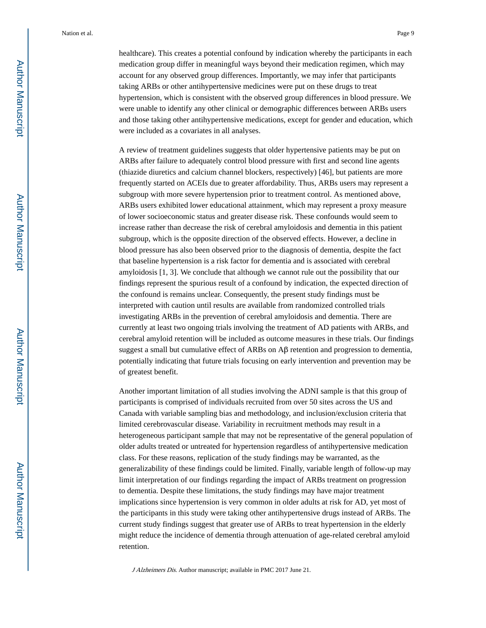healthcare). This creates a potential confound by indication whereby the participants in each medication group differ in meaningful ways beyond their medication regimen, which may account for any observed group differences. Importantly, we may infer that participants taking ARBs or other antihypertensive medicines were put on these drugs to treat hypertension, which is consistent with the observed group differences in blood pressure. We were unable to identify any other clinical or demographic differences between ARBs users and those taking other antihypertensive medications, except for gender and education, which were included as a covariates in all analyses.

A review of treatment guidelines suggests that older hypertensive patients may be put on ARBs after failure to adequately control blood pressure with first and second line agents (thiazide diuretics and calcium channel blockers, respectively) [46], but patients are more frequently started on ACEIs due to greater affordability. Thus, ARBs users may represent a subgroup with more severe hypertension prior to treatment control. As mentioned above, ARBs users exhibited lower educational attainment, which may represent a proxy measure of lower socioeconomic status and greater disease risk. These confounds would seem to increase rather than decrease the risk of cerebral amyloidosis and dementia in this patient subgroup, which is the opposite direction of the observed effects. However, a decline in blood pressure has also been observed prior to the diagnosis of dementia, despite the fact that baseline hypertension is a risk factor for dementia and is associated with cerebral amyloidosis [1, 3]. We conclude that although we cannot rule out the possibility that our findings represent the spurious result of a confound by indication, the expected direction of the confound is remains unclear. Consequently, the present study findings must be interpreted with caution until results are available from randomized controlled trials investigating ARBs in the prevention of cerebral amyloidosis and dementia. There are currently at least two ongoing trials involving the treatment of AD patients with ARBs, and cerebral amyloid retention will be included as outcome measures in these trials. Our findings suggest a small but cumulative effect of ARBs on Aβ retention and progression to dementia, potentially indicating that future trials focusing on early intervention and prevention may be of greatest benefit.

Another important limitation of all studies involving the ADNI sample is that this group of participants is comprised of individuals recruited from over 50 sites across the US and Canada with variable sampling bias and methodology, and inclusion/exclusion criteria that limited cerebrovascular disease. Variability in recruitment methods may result in a heterogeneous participant sample that may not be representative of the general population of older adults treated or untreated for hypertension regardless of antihypertensive medication class. For these reasons, replication of the study findings may be warranted, as the generalizability of these findings could be limited. Finally, variable length of follow-up may limit interpretation of our findings regarding the impact of ARBs treatment on progression to dementia. Despite these limitations, the study findings may have major treatment implications since hypertension is very common in older adults at risk for AD, yet most of the participants in this study were taking other antihypertensive drugs instead of ARBs. The current study findings suggest that greater use of ARBs to treat hypertension in the elderly might reduce the incidence of dementia through attenuation of age-related cerebral amyloid retention.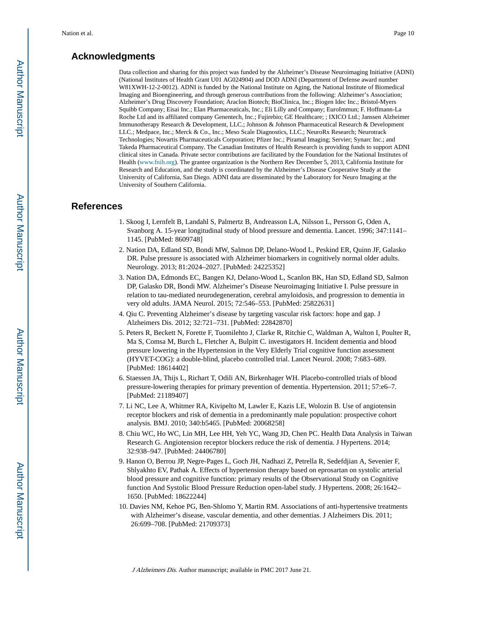## **Acknowledgments**

Data collection and sharing for this project was funded by the Alzheimer's Disease Neuroimaging Initiative (ADNI) (National Institutes of Health Grant U01 AG024904) and DOD ADNI (Department of Defense award number W81XWH-12-2-0012). ADNI is funded by the National Institute on Aging, the National Institute of Biomedical Imaging and Bioengineering, and through generous contributions from the following: Alzheimer's Association; Alzheimer's Drug Discovery Foundation; Araclon Biotech; BioClinica, Inc.; Biogen Idec Inc.; Bristol-Myers Squibb Company; Eisai Inc.; Elan Pharmaceuticals, Inc.; Eli Lilly and Company; EuroImmun; F. Hoffmann-La Roche Ltd and its affiliated company Genentech, Inc.; Fujirebio; GE Healthcare; ; IXICO Ltd.; Janssen Alzheimer Immunotherapy Research & Development, LLC.; Johnson & Johnson Pharmaceutical Research & Development LLC.; Medpace, Inc.; Merck & Co., Inc.; Meso Scale Diagnostics, LLC.; NeuroRx Research; Neurotrack Technologies; Novartis Pharmaceuticals Corporation; Pfizer Inc.; Piramal Imaging; Servier; Synarc Inc.; and Takeda Pharmaceutical Company. The Canadian Institutes of Health Research is providing funds to support ADNI clinical sites in Canada. Private sector contributions are facilitated by the Foundation for the National Institutes of Health (www.fnih.org). The grantee organization is the Northern Rev December 5, 2013, California Institute for Research and Education, and the study is coordinated by the Alzheimer's Disease Cooperative Study at the University of California, San Diego. ADNI data are disseminated by the Laboratory for Neuro Imaging at the University of Southern California.

## **References**

- 1. Skoog I, Lernfelt B, Landahl S, Palmertz B, Andreasson LA, Nilsson L, Persson G, Oden A, Svanborg A. 15-year longitudinal study of blood pressure and dementia. Lancet. 1996; 347:1141– 1145. [PubMed: 8609748]
- 2. Nation DA, Edland SD, Bondi MW, Salmon DP, Delano-Wood L, Peskind ER, Quinn JF, Galasko DR. Pulse pressure is associated with Alzheimer biomarkers in cognitively normal older adults. Neurology. 2013; 81:2024–2027. [PubMed: 24225352]
- 3. Nation DA, Edmonds EC, Bangen KJ, Delano-Wood L, Scanlon BK, Han SD, Edland SD, Salmon DP, Galasko DR, Bondi MW. Alzheimer's Disease Neuroimaging Initiative I. Pulse pressure in relation to tau-mediated neurodegeneration, cerebral amyloidosis, and progression to dementia in very old adults. JAMA Neurol. 2015; 72:546–553. [PubMed: 25822631]
- 4. Qiu C. Preventing Alzheimer's disease by targeting vascular risk factors: hope and gap. J Alzheimers Dis. 2012; 32:721–731. [PubMed: 22842870]
- 5. Peters R, Beckett N, Forette F, Tuomilehto J, Clarke R, Ritchie C, Waldman A, Walton I, Poulter R, Ma S, Comsa M, Burch L, Fletcher A, Bulpitt C. investigators H. Incident dementia and blood pressure lowering in the Hypertension in the Very Elderly Trial cognitive function assessment (HYVET-COG): a double-blind, placebo controlled trial. Lancet Neurol. 2008; 7:683–689. [PubMed: 18614402]
- 6. Staessen JA, Thijs L, Richart T, Odili AN, Birkenhager WH. Placebo-controlled trials of blood pressure-lowering therapies for primary prevention of dementia. Hypertension. 2011; 57:e6–7. [PubMed: 21189407]
- 7. Li NC, Lee A, Whitmer RA, Kivipelto M, Lawler E, Kazis LE, Wolozin B. Use of angiotensin receptor blockers and risk of dementia in a predominantly male population: prospective cohort analysis. BMJ. 2010; 340:b5465. [PubMed: 20068258]
- 8. Chiu WC, Ho WC, Lin MH, Lee HH, Yeh YC, Wang JD, Chen PC. Health Data Analysis in Taiwan Research G. Angiotension receptor blockers reduce the risk of dementia. J Hypertens. 2014; 32:938–947. [PubMed: 24406780]
- 9. Hanon O, Berrou JP, Negre-Pages L, Goch JH, Nadhazi Z, Petrella R, Sedefdjian A, Sevenier F, Shlyakhto EV, Pathak A. Effects of hypertension therapy based on eprosartan on systolic arterial blood pressure and cognitive function: primary results of the Observational Study on Cognitive function And Systolic Blood Pressure Reduction open-label study. J Hypertens. 2008; 26:1642– 1650. [PubMed: 18622244]
- 10. Davies NM, Kehoe PG, Ben-Shlomo Y, Martin RM. Associations of anti-hypertensive treatments with Alzheimer's disease, vascular dementia, and other dementias. J Alzheimers Dis. 2011; 26:699–708. [PubMed: 21709373]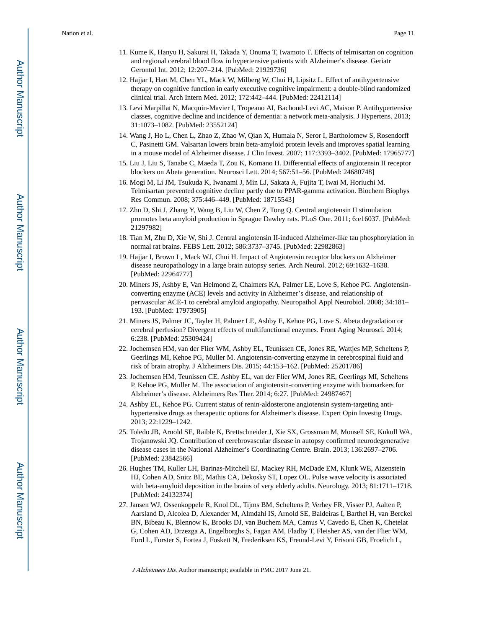- 11. Kume K, Hanyu H, Sakurai H, Takada Y, Onuma T, Iwamoto T. Effects of telmisartan on cognition and regional cerebral blood flow in hypertensive patients with Alzheimer's disease. Geriatr Gerontol Int. 2012; 12:207–214. [PubMed: 21929736]
- 12. Hajjar I, Hart M, Chen YL, Mack W, Milberg W, Chui H, Lipsitz L. Effect of antihypertensive therapy on cognitive function in early executive cognitive impairment: a double-blind randomized clinical trial. Arch Intern Med. 2012; 172:442–444. [PubMed: 22412114]
- 13. Levi Marpillat N, Macquin-Mavier I, Tropeano AI, Bachoud-Levi AC, Maison P. Antihypertensive classes, cognitive decline and incidence of dementia: a network meta-analysis. J Hypertens. 2013; 31:1073–1082. [PubMed: 23552124]
- 14. Wang J, Ho L, Chen L, Zhao Z, Zhao W, Qian X, Humala N, Seror I, Bartholomew S, Rosendorff C, Pasinetti GM. Valsartan lowers brain beta-amyloid protein levels and improves spatial learning in a mouse model of Alzheimer disease. J Clin Invest. 2007; 117:3393–3402. [PubMed: 17965777]
- 15. Liu J, Liu S, Tanabe C, Maeda T, Zou K, Komano H. Differential effects of angiotensin II receptor blockers on Abeta generation. Neurosci Lett. 2014; 567:51–56. [PubMed: 24680748]
- 16. Mogi M, Li JM, Tsukuda K, Iwanami J, Min LJ, Sakata A, Fujita T, Iwai M, Horiuchi M. Telmisartan prevented cognitive decline partly due to PPAR-gamma activation. Biochem Biophys Res Commun. 2008; 375:446–449. [PubMed: 18715543]
- 17. Zhu D, Shi J, Zhang Y, Wang B, Liu W, Chen Z, Tong Q. Central angiotensin II stimulation promotes beta amyloid production in Sprague Dawley rats. PLoS One. 2011; 6:e16037. [PubMed: 21297982]
- 18. Tian M, Zhu D, Xie W, Shi J. Central angiotensin II-induced Alzheimer-like tau phosphorylation in normal rat brains. FEBS Lett. 2012; 586:3737–3745. [PubMed: 22982863]
- 19. Hajjar I, Brown L, Mack WJ, Chui H. Impact of Angiotensin receptor blockers on Alzheimer disease neuropathology in a large brain autopsy series. Arch Neurol. 2012; 69:1632–1638. [PubMed: 22964777]
- 20. Miners JS, Ashby E, Van Helmond Z, Chalmers KA, Palmer LE, Love S, Kehoe PG. Angiotensinconverting enzyme (ACE) levels and activity in Alzheimer's disease, and relationship of perivascular ACE-1 to cerebral amyloid angiopathy. Neuropathol Appl Neurobiol. 2008; 34:181– 193. [PubMed: 17973905]
- 21. Miners JS, Palmer JC, Tayler H, Palmer LE, Ashby E, Kehoe PG, Love S. Abeta degradation or cerebral perfusion? Divergent effects of multifunctional enzymes. Front Aging Neurosci. 2014; 6:238. [PubMed: 25309424]
- 22. Jochemsen HM, van der Flier WM, Ashby EL, Teunissen CE, Jones RE, Wattjes MP, Scheltens P, Geerlings MI, Kehoe PG, Muller M. Angiotensin-converting enzyme in cerebrospinal fluid and risk of brain atrophy. J Alzheimers Dis. 2015; 44:153–162. [PubMed: 25201786]
- 23. Jochemsen HM, Teunissen CE, Ashby EL, van der Flier WM, Jones RE, Geerlings MI, Scheltens P, Kehoe PG, Muller M. The association of angiotensin-converting enzyme with biomarkers for Alzheimer's disease. Alzheimers Res Ther. 2014; 6:27. [PubMed: 24987467]
- 24. Ashby EL, Kehoe PG. Current status of renin-aldosterone angiotensin system-targeting antihypertensive drugs as therapeutic options for Alzheimer's disease. Expert Opin Investig Drugs. 2013; 22:1229–1242.
- 25. Toledo JB, Arnold SE, Raible K, Brettschneider J, Xie SX, Grossman M, Monsell SE, Kukull WA, Trojanowski JQ. Contribution of cerebrovascular disease in autopsy confirmed neurodegenerative disease cases in the National Alzheimer's Coordinating Centre. Brain. 2013; 136:2697–2706. [PubMed: 23842566]
- 26. Hughes TM, Kuller LH, Barinas-Mitchell EJ, Mackey RH, McDade EM, Klunk WE, Aizenstein HJ, Cohen AD, Snitz BE, Mathis CA, Dekosky ST, Lopez OL. Pulse wave velocity is associated with beta-amyloid deposition in the brains of very elderly adults. Neurology. 2013; 81:1711–1718. [PubMed: 24132374]
- 27. Jansen WJ, Ossenkoppele R, Knol DL, Tijms BM, Scheltens P, Verhey FR, Visser PJ, Aalten P, Aarsland D, Alcolea D, Alexander M, Almdahl IS, Arnold SE, Baldeiras I, Barthel H, van Berckel BN, Bibeau K, Blennow K, Brooks DJ, van Buchem MA, Camus V, Cavedo E, Chen K, Chetelat G, Cohen AD, Drzezga A, Engelborghs S, Fagan AM, Fladby T, Fleisher AS, van der Flier WM, Ford L, Forster S, Fortea J, Foskett N, Frederiksen KS, Freund-Levi Y, Frisoni GB, Froelich L,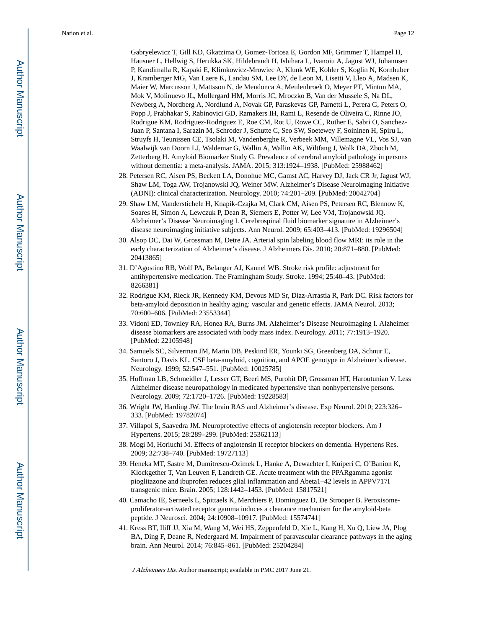Gabryelewicz T, Gill KD, Gkatzima O, Gomez-Tortosa E, Gordon MF, Grimmer T, Hampel H, Hausner L, Hellwig S, Herukka SK, Hildebrandt H, Ishihara L, Ivanoiu A, Jagust WJ, Johannsen P, Kandimalla R, Kapaki E, Klimkowicz-Mrowiec A, Klunk WE, Kohler S, Koglin N, Kornhuber J, Kramberger MG, Van Laere K, Landau SM, Lee DY, de Leon M, Lisetti V, Lleo A, Madsen K, Maier W, Marcusson J, Mattsson N, de Mendonca A, Meulenbroek O, Meyer PT, Mintun MA, Mok V, Molinuevo JL, Mollergard HM, Morris JC, Mroczko B, Van der Mussele S, Na DL, Newberg A, Nordberg A, Nordlund A, Novak GP, Paraskevas GP, Parnetti L, Perera G, Peters O, Popp J, Prabhakar S, Rabinovici GD, Ramakers IH, Rami L, Resende de Oliveira C, Rinne JO, Rodrigue KM, Rodriguez-Rodriguez E, Roe CM, Rot U, Rowe CC, Ruther E, Sabri O, Sanchez-Juan P, Santana I, Sarazin M, Schroder J, Schutte C, Seo SW, Soetewey F, Soininen H, Spiru L, Struyfs H, Teunissen CE, Tsolaki M, Vandenberghe R, Verbeek MM, Villemagne VL, Vos SJ, van Waalwijk van Doorn LJ, Waldemar G, Wallin A, Wallin AK, Wiltfang J, Wolk DA, Zboch M, Zetterberg H. Amyloid Biomarker Study G. Prevalence of cerebral amyloid pathology in persons without dementia: a meta-analysis. JAMA. 2015; 313:1924–1938. [PubMed: 25988462]

- 28. Petersen RC, Aisen PS, Beckett LA, Donohue MC, Gamst AC, Harvey DJ, Jack CR Jr, Jagust WJ, Shaw LM, Toga AW, Trojanowski JQ, Weiner MW. Alzheimer's Disease Neuroimaging Initiative (ADNI): clinical characterization. Neurology. 2010; 74:201–209. [PubMed: 20042704]
- 29. Shaw LM, Vanderstichele H, Knapik-Czajka M, Clark CM, Aisen PS, Petersen RC, Blennow K, Soares H, Simon A, Lewczuk P, Dean R, Siemers E, Potter W, Lee VM, Trojanowski JQ. Alzheimer's Disease Neuroimaging I. Cerebrospinal fluid biomarker signature in Alzheimer's disease neuroimaging initiative subjects. Ann Neurol. 2009; 65:403–413. [PubMed: 19296504]
- 30. Alsop DC, Dai W, Grossman M, Detre JA. Arterial spin labeling blood flow MRI: its role in the early characterization of Alzheimer's disease. J Alzheimers Dis. 2010; 20:871–880. [PubMed: 20413865]
- 31. D'Agostino RB, Wolf PA, Belanger AJ, Kannel WB. Stroke risk profile: adjustment for antihypertensive medication. The Framingham Study. Stroke. 1994; 25:40–43. [PubMed: 8266381]
- 32. Rodrigue KM, Rieck JR, Kennedy KM, Devous MD Sr, Diaz-Arrastia R, Park DC. Risk factors for beta-amyloid deposition in healthy aging: vascular and genetic effects. JAMA Neurol. 2013; 70:600–606. [PubMed: 23553344]
- 33. Vidoni ED, Townley RA, Honea RA, Burns JM. Alzheimer's Disease Neuroimaging I. Alzheimer disease biomarkers are associated with body mass index. Neurology. 2011; 77:1913–1920. [PubMed: 22105948]
- 34. Samuels SC, Silverman JM, Marin DB, Peskind ER, Younki SG, Greenberg DA, Schnur E, Santoro J, Davis KL. CSF beta-amyloid, cognition, and APOE genotype in Alzheimer's disease. Neurology. 1999; 52:547–551. [PubMed: 10025785]
- 35. Hoffman LB, Schmeidler J, Lesser GT, Beeri MS, Purohit DP, Grossman HT, Haroutunian V. Less Alzheimer disease neuropathology in medicated hypertensive than nonhypertensive persons. Neurology. 2009; 72:1720–1726. [PubMed: 19228583]
- 36. Wright JW, Harding JW. The brain RAS and Alzheimer's disease. Exp Neurol. 2010; 223:326– 333. [PubMed: 19782074]
- 37. Villapol S, Saavedra JM. Neuroprotective effects of angiotensin receptor blockers. Am J Hypertens. 2015; 28:289–299. [PubMed: 25362113]
- 38. Mogi M, Horiuchi M. Effects of angiotensin II receptor blockers on dementia. Hypertens Res. 2009; 32:738–740. [PubMed: 19727113]
- 39. Heneka MT, Sastre M, Dumitrescu-Ozimek L, Hanke A, Dewachter I, Kuiperi C, O'Banion K, Klockgether T, Van Leuven F, Landreth GE. Acute treatment with the PPARgamma agonist pioglitazone and ibuprofen reduces glial inflammation and Abeta1–42 levels in APPV717I transgenic mice. Brain. 2005; 128:1442–1453. [PubMed: 15817521]
- 40. Camacho IE, Serneels L, Spittaels K, Merchiers P, Dominguez D, De Strooper B. Peroxisomeproliferator-activated receptor gamma induces a clearance mechanism for the amyloid-beta peptide. J Neurosci. 2004; 24:10908–10917. [PubMed: 15574741]
- 41. Kress BT, Iliff JJ, Xia M, Wang M, Wei HS, Zeppenfeld D, Xie L, Kang H, Xu Q, Liew JA, Plog BA, Ding F, Deane R, Nedergaard M. Impairment of paravascular clearance pathways in the aging brain. Ann Neurol. 2014; 76:845–861. [PubMed: 25204284]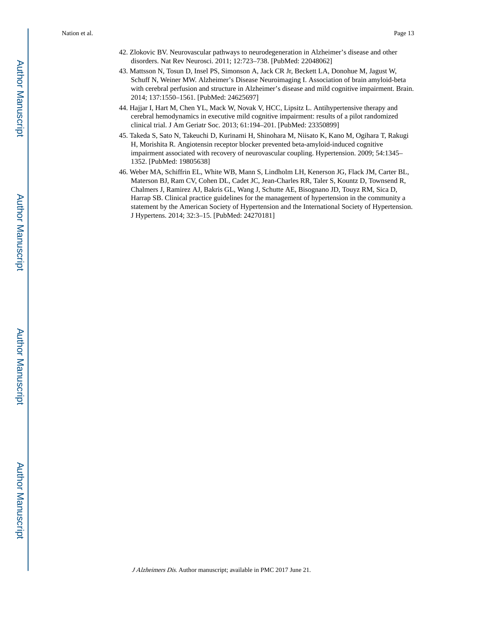- 42. Zlokovic BV. Neurovascular pathways to neurodegeneration in Alzheimer's disease and other disorders. Nat Rev Neurosci. 2011; 12:723–738. [PubMed: 22048062]
- 43. Mattsson N, Tosun D, Insel PS, Simonson A, Jack CR Jr, Beckett LA, Donohue M, Jagust W, Schuff N, Weiner MW. Alzheimer's Disease Neuroimaging I. Association of brain amyloid-beta with cerebral perfusion and structure in Alzheimer's disease and mild cognitive impairment. Brain. 2014; 137:1550–1561. [PubMed: 24625697]
- 44. Hajjar I, Hart M, Chen YL, Mack W, Novak V, HCC, Lipsitz L. Antihypertensive therapy and cerebral hemodynamics in executive mild cognitive impairment: results of a pilot randomized clinical trial. J Am Geriatr Soc. 2013; 61:194–201. [PubMed: 23350899]
- 45. Takeda S, Sato N, Takeuchi D, Kurinami H, Shinohara M, Niisato K, Kano M, Ogihara T, Rakugi H, Morishita R. Angiotensin receptor blocker prevented beta-amyloid-induced cognitive impairment associated with recovery of neurovascular coupling. Hypertension. 2009; 54:1345– 1352. [PubMed: 19805638]
- 46. Weber MA, Schiffrin EL, White WB, Mann S, Lindholm LH, Kenerson JG, Flack JM, Carter BL, Materson BJ, Ram CV, Cohen DL, Cadet JC, Jean-Charles RR, Taler S, Kountz D, Townsend R, Chalmers J, Ramirez AJ, Bakris GL, Wang J, Schutte AE, Bisognano JD, Touyz RM, Sica D, Harrap SB. Clinical practice guidelines for the management of hypertension in the community a statement by the American Society of Hypertension and the International Society of Hypertension. J Hypertens. 2014; 32:3–15. [PubMed: 24270181]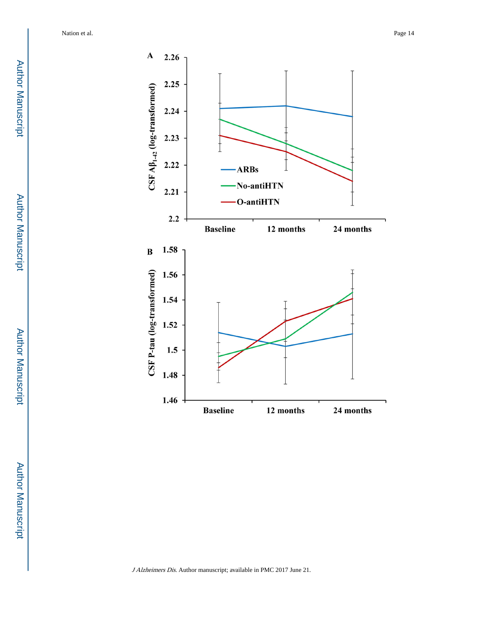Author Manuscript

Author Manuscript

Author Manuscript

Author Manuscript

Author Manuscript

Author Manuscript

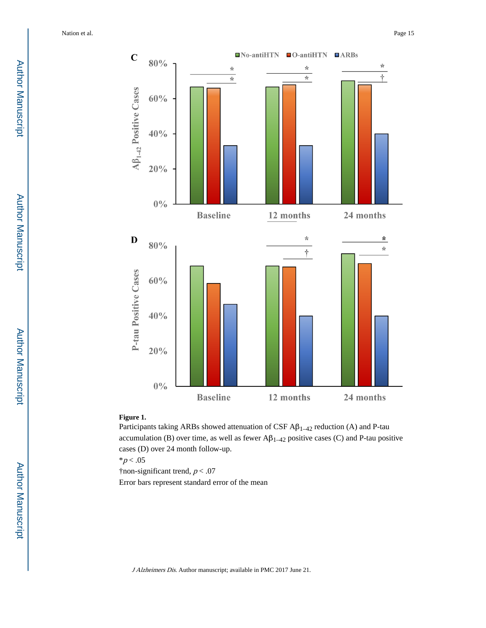

#### **Figure 1.**

Participants taking ARBs showed attenuation of CSF  $A\beta_{1-42}$  reduction (A) and P-tau accumulation (B) over time, as well as fewer  $A\beta_{1-42}$  positive cases (C) and P-tau positive cases (D) over 24 month follow-up.

 $*p < .05$ 

†non-significant trend,  $p < .07$ 

Error bars represent standard error of the mean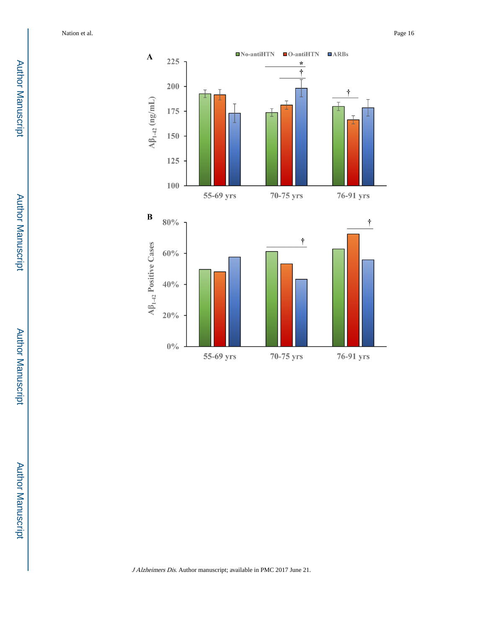

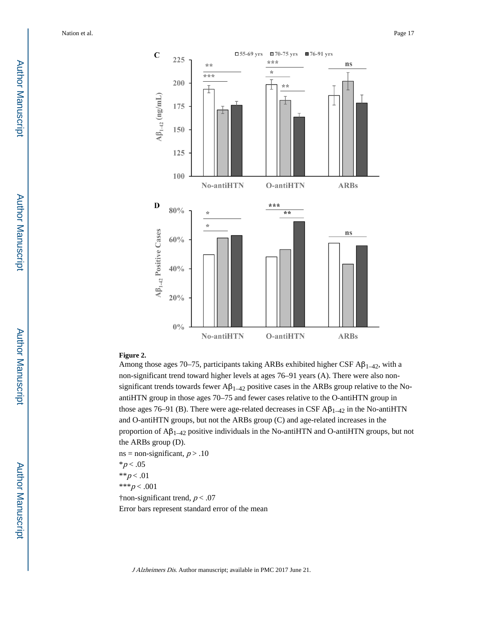

#### **Figure 2.**

Among those ages 70–75, participants taking ARBs exhibited higher CSF  $\mathsf{AB}_{1-42}$ , with a non-significant trend toward higher levels at ages 76–91 years (A). There were also nonsignificant trends towards fewer  $A\beta_{1-42}$  positive cases in the ARBs group relative to the NoantiHTN group in those ages 70–75 and fewer cases relative to the O-antiHTN group in those ages 76–91 (B). There were age-related decreases in CSF  $\mathsf{A}\beta_{1-42}$  in the No-antiHTN and O-antiHTN groups, but not the ARBs group (C) and age-related increases in the proportion of  $A\beta_{1-42}$  positive individuals in the No-antiHTN and O-antiHTN groups, but not the ARBs group (D).

 $ns = non-significant, p > .10$  $*p < .05$ \*\* $p < .01$ \*\*\* $p < .001$ †non-significant trend,  $p < .07$ Error bars represent standard error of the mean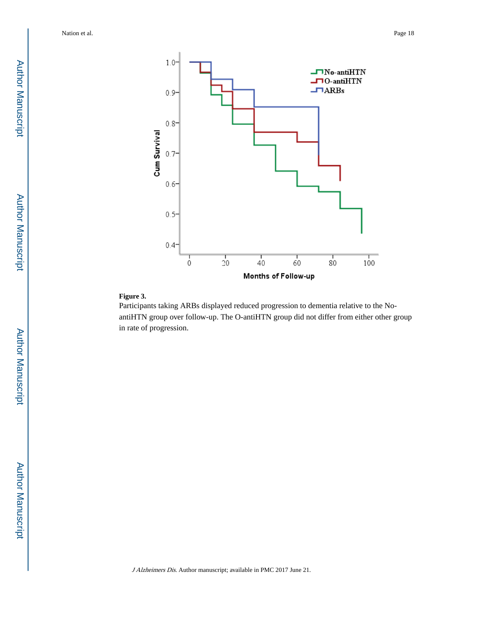

## **Figure 3.**

Participants taking ARBs displayed reduced progression to dementia relative to the NoantiHTN group over follow-up. The O-antiHTN group did not differ from either other group in rate of progression.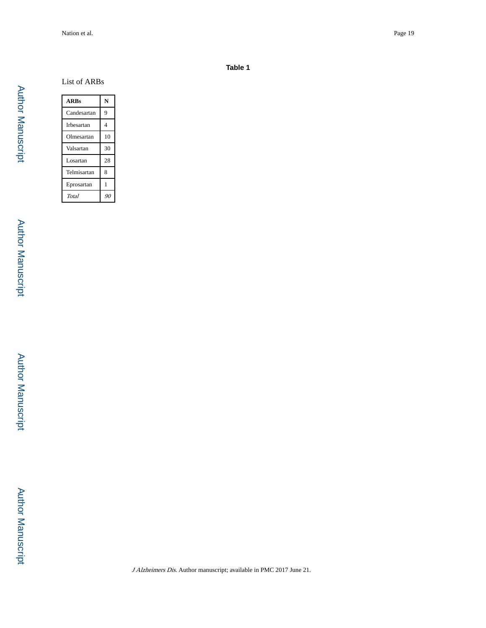**Table 1**

## List of ARBs

| <b>ARBs</b> | N   |
|-------------|-----|
| Candesartan | 9   |
| Irbesartan  | 4   |
| Olmesartan  | 10  |
| Valsartan   | 30  |
| Losartan    | 28  |
| Telmisartan | 8   |
| Eprosartan  | 1   |
| Total       | 91. |